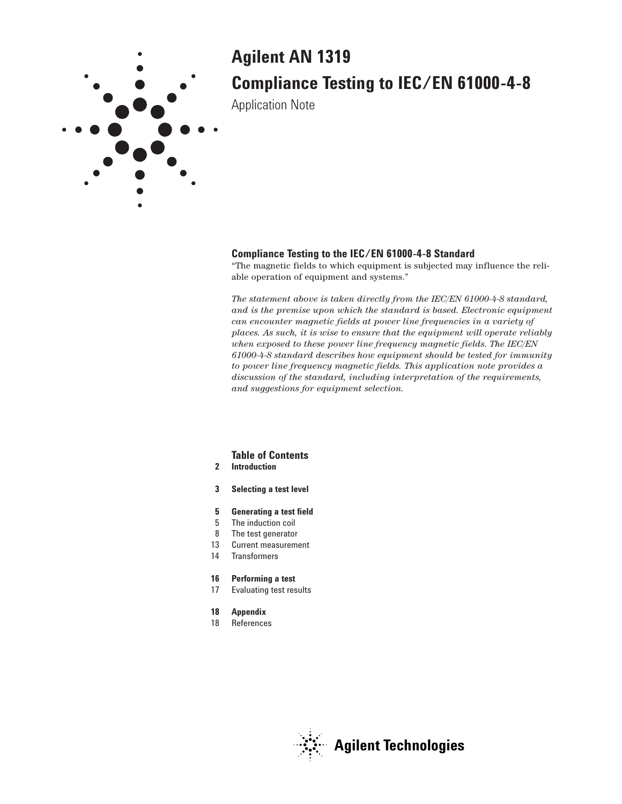

# **Agilent AN 1319 Compliance Testing to IEC/EN 61000-4-8**

Application Note

### **Compliance Testing to the IEC/EN 61000-4-8 Standard**

"The magnetic fields to which equipment is subjected may influence the reliable operation of equipment and systems."

*The statement above is taken directly from the IEC/EN 61000-4-8 standard, and is the premise upon which the standard is based. Electronic equipment can encounter magnetic fields at power line frequencies in a variety of places. As such, it is wise to ensure that the equipment will operate reliably when exposed to these power line frequency magnetic fields. The IEC/EN 61000-4-8 standard describes how equipment should be tested for immunity to power line frequency magnetic fields. This application note provides a discussion of the standard, including interpretation of the requirements, and suggestions for equipment selection.*

### **Table of Contents**

- **2 Introduction**
- **3 Selecting a test level**
- **5 Generating a test field**
- 5 The induction coil
- 8 The test generator
- 13 Current measurement
- 14 Transformers

#### **16 Performing a test**

17 Evaluating test results

#### **18 Appendix**

18 References

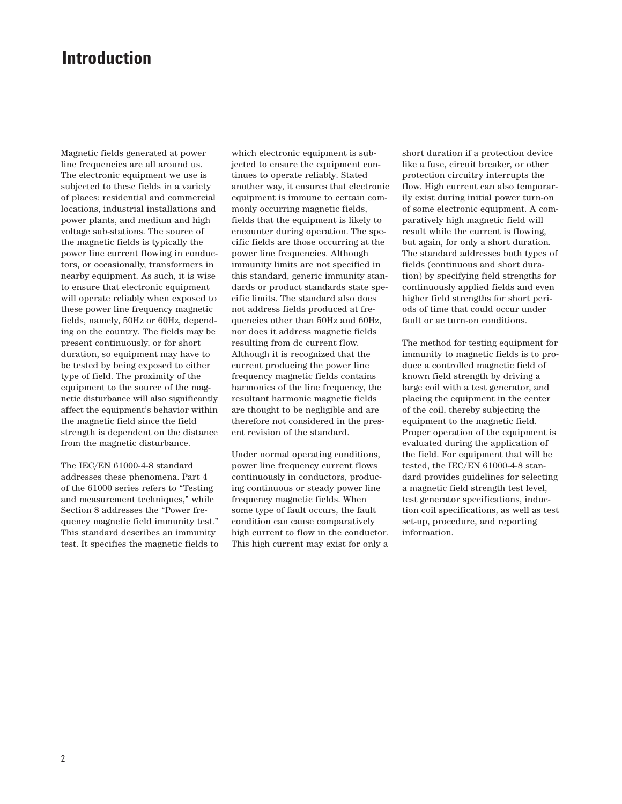## **Introduction**

Magnetic fields generated at power line frequencies are all around us. The electronic equipment we use is subjected to these fields in a variety of places: residential and commercial locations, industrial installations and power plants, and medium and high voltage sub-stations. The source of the magnetic fields is typically the power line current flowing in conductors, or occasionally, transformers in nearby equipment. As such, it is wise to ensure that electronic equipment will operate reliably when exposed to these power line frequency magnetic fields, namely, 50Hz or 60Hz, depending on the country. The fields may be present continuously, or for short duration, so equipment may have to be tested by being exposed to either type of field. The proximity of the equipment to the source of the magnetic disturbance will also significantly affect the equipment's behavior within the magnetic field since the field strength is dependent on the distance from the magnetic disturbance.

The IEC/EN 61000-4-8 standard addresses these phenomena. Part 4 of the 61000 series refers to "Testing and measurement techniques," while Section 8 addresses the "Power frequency magnetic field immunity test." This standard describes an immunity test. It specifies the magnetic fields to

which electronic equipment is subjected to ensure the equipment continues to operate reliably. Stated another way, it ensures that electronic equipment is immune to certain commonly occurring magnetic fields, fields that the equipment is likely to encounter during operation. The specific fields are those occurring at the power line frequencies. Although immunity limits are not specified in this standard, generic immunity standards or product standards state specific limits. The standard also does not address fields produced at frequencies other than 50Hz and 60Hz, nor does it address magnetic fields resulting from dc current flow. Although it is recognized that the current producing the power line frequency magnetic fields contains harmonics of the line frequency, the resultant harmonic magnetic fields are thought to be negligible and are therefore not considered in the present revision of the standard.

Under normal operating conditions, power line frequency current flows continuously in conductors, producing continuous or steady power line frequency magnetic fields. When some type of fault occurs, the fault condition can cause comparatively high current to flow in the conductor. This high current may exist for only a

short duration if a protection device like a fuse, circuit breaker, or other protection circuitry interrupts the flow. High current can also temporarily exist during initial power turn-on of some electronic equipment. A comparatively high magnetic field will result while the current is flowing, but again, for only a short duration. The standard addresses both types of fields (continuous and short duration) by specifying field strengths for continuously applied fields and even higher field strengths for short periods of time that could occur under fault or ac turn-on conditions.

The method for testing equipment for immunity to magnetic fields is to produce a controlled magnetic field of known field strength by driving a large coil with a test generator, and placing the equipment in the center of the coil, thereby subjecting the equipment to the magnetic field. Proper operation of the equipment is evaluated during the application of the field. For equipment that will be tested, the IEC/EN 61000-4-8 standard provides guidelines for selecting a magnetic field strength test level, test generator specifications, induction coil specifications, as well as test set-up, procedure, and reporting information.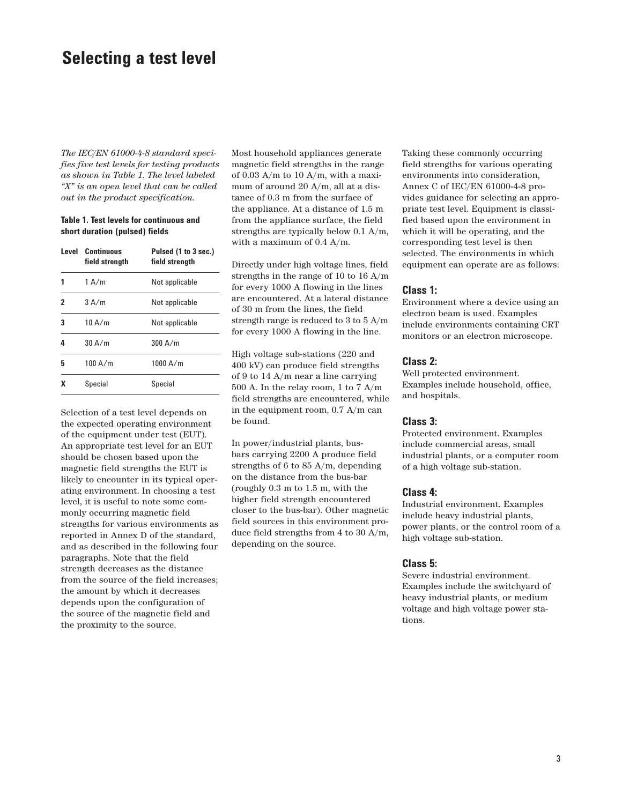### **Selecting a test level**

*The IEC/EN 61000-4-8 standard specifies five test levels for testing products as shown in Table 1. The level labeled "X" is an open level that can be called out in the product specification.*

#### **Table 1. Test levels for continuous and short duration (pulsed) fields**

|   | Level Continuous<br>field strength | Pulsed (1 to 3 sec.)<br>field strenath |
|---|------------------------------------|----------------------------------------|
|   | 1 A/m                              | Not applicable                         |
| 2 | 3A/m                               | Not applicable                         |
| 3 | 10 A/m                             | Not applicable                         |
| 4 | 30 A/m                             | 300 A/m                                |
| 5 | 100 A/m                            | 1000 $A/m$                             |
| x | Special                            | Special                                |

Selection of a test level depends on the expected operating environment of the equipment under test (EUT). An appropriate test level for an EUT should be chosen based upon the magnetic field strengths the EUT is likely to encounter in its typical operating environment. In choosing a test level, it is useful to note some commonly occurring magnetic field strengths for various environments as reported in Annex D of the standard, and as described in the following four paragraphs. Note that the field strength decreases as the distance from the source of the field increases; the amount by which it decreases depends upon the configuration of the source of the magnetic field and the proximity to the source.

Most household appliances generate magnetic field strengths in the range of 0.03 A/m to 10 A/m, with a maximum of around 20 A/m, all at a distance of 0.3 m from the surface of the appliance. At a distance of 1.5 m from the appliance surface, the field strengths are typically below 0.1 A/m, with a maximum of 0.4 A/m.

Directly under high voltage lines, field strengths in the range of 10 to 16 A/m for every 1000 A flowing in the lines are encountered. At a lateral distance of 30 m from the lines, the field strength range is reduced to 3 to 5 A/m for every 1000 A flowing in the line.

High voltage sub-stations (220 and 400 kV) can produce field strengths of 9 to 14 A/m near a line carrying 500 A. In the relay room, 1 to 7 A/m field strengths are encountered, while in the equipment room, 0.7 A/m can be found.

In power/industrial plants, busbars carrying 2200 A produce field strengths of 6 to 85 A/m, depending on the distance from the bus-bar (roughly 0.3 m to 1.5 m, with the higher field strength encountered closer to the bus-bar). Other magnetic field sources in this environment produce field strengths from 4 to 30 A/m, depending on the source.

Taking these commonly occurring field strengths for various operating environments into consideration, Annex C of IEC/EN 61000-4-8 provides guidance for selecting an appropriate test level. Equipment is classified based upon the environment in which it will be operating, and the corresponding test level is then selected. The environments in which equipment can operate are as follows:

#### **Class 1:**

Environment where a device using an electron beam is used. Examples include environments containing CRT monitors or an electron microscope.

#### **Class 2:**

Well protected environment. Examples include household, office, and hospitals.

#### **Class 3:**

Protected environment. Examples include commercial areas, small industrial plants, or a computer room of a high voltage sub-station.

#### **Class 4:**

Industrial environment. Examples include heavy industrial plants, power plants, or the control room of a high voltage sub-station.

#### **Class 5:**

Severe industrial environment. Examples include the switchyard of heavy industrial plants, or medium voltage and high voltage power stations.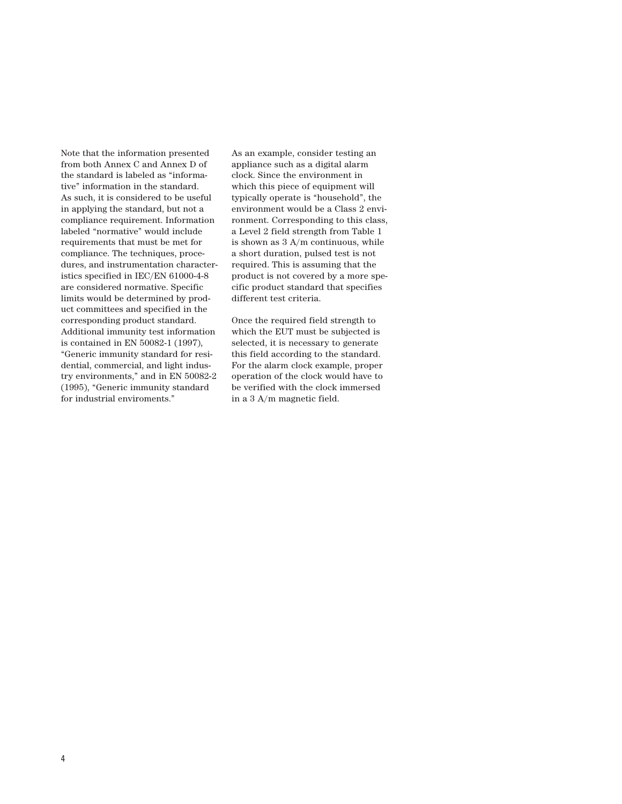Note that the information presented from both Annex C and Annex D of the standard is labeled as "informative" information in the standard. As such, it is considered to be useful in applying the standard, but not a compliance requirement. Information labeled "normative" would include requirements that must be met for compliance. The techniques, procedures, and instrumentation characteristics specified in IEC/EN 61000-4-8 are considered normative. Specific limits would be determined by product committees and specified in the corresponding product standard. Additional immunity test information is contained in EN 50082-1 (1997), "Generic immunity standard for residential, commercial, and light industry environments," and in EN 50082-2 (1995), "Generic immunity standard for industrial enviroments."

As an example, consider testing an appliance such as a digital alarm clock. Since the environment in which this piece of equipment will typically operate is "household", the environment would be a Class 2 environment. Corresponding to this class, a Level 2 field strength from Table 1 is shown as 3 A/m continuous, while a short duration, pulsed test is not required. This is assuming that the product is not covered by a more specific product standard that specifies different test criteria.

Once the required field strength to which the EUT must be subjected is selected, it is necessary to generate this field according to the standard. For the alarm clock example, proper operation of the clock would have to be verified with the clock immersed in a 3 A/m magnetic field.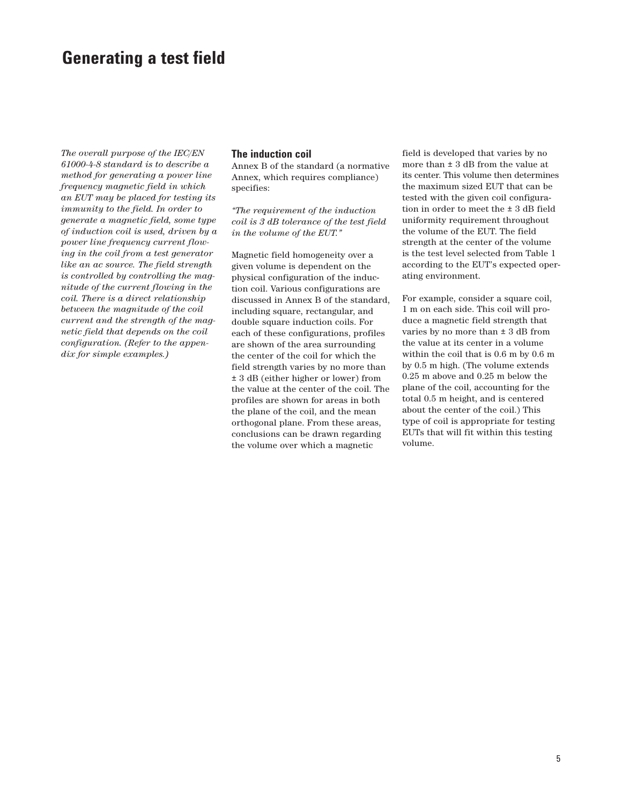# **Generating a test field**

*The overall purpose of the IEC/EN 61000-4-8 standard is to describe a method for generating a power line frequency magnetic field in which an EUT may be placed for testing its immunity to the field. In order to generate a magnetic field, some type of induction coil is used, driven by a power line frequency current flowing in the coil from a test generator like an ac source. The field strength is controlled by controlling the magnitude of the current flowing in the coil. There is a direct relationship between the magnitude of the coil current and the strength of the magnetic field that depends on the coil configuration. (Refer to the appendix for simple examples.)*

#### **The induction coil**

Annex B of the standard (a normative Annex, which requires compliance) specifies:

*"The requirement of the induction coil is 3 dB tolerance of the test field in the volume of the EUT."*

Magnetic field homogeneity over a given volume is dependent on the physical configuration of the induction coil. Various configurations are discussed in Annex B of the standard, including square, rectangular, and double square induction coils. For each of these configurations, profiles are shown of the area surrounding the center of the coil for which the field strength varies by no more than ± 3 dB (either higher or lower) from the value at the center of the coil. The profiles are shown for areas in both the plane of the coil, and the mean orthogonal plane. From these areas, conclusions can be drawn regarding the volume over which a magnetic

field is developed that varies by no more than ± 3 dB from the value at its center. This volume then determines the maximum sized EUT that can be tested with the given coil configuration in order to meet the ± 3 dB field uniformity requirement throughout the volume of the EUT. The field strength at the center of the volume is the test level selected from Table 1 according to the EUT's expected operating environment.

For example, consider a square coil, 1 m on each side. This coil will produce a magnetic field strength that varies by no more than  $\pm$  3 dB from the value at its center in a volume within the coil that is 0.6 m by 0.6 m by 0.5 m high. (The volume extends 0.25 m above and 0.25 m below the plane of the coil, accounting for the total 0.5 m height, and is centered about the center of the coil.) This type of coil is appropriate for testing EUTs that will fit within this testing volume.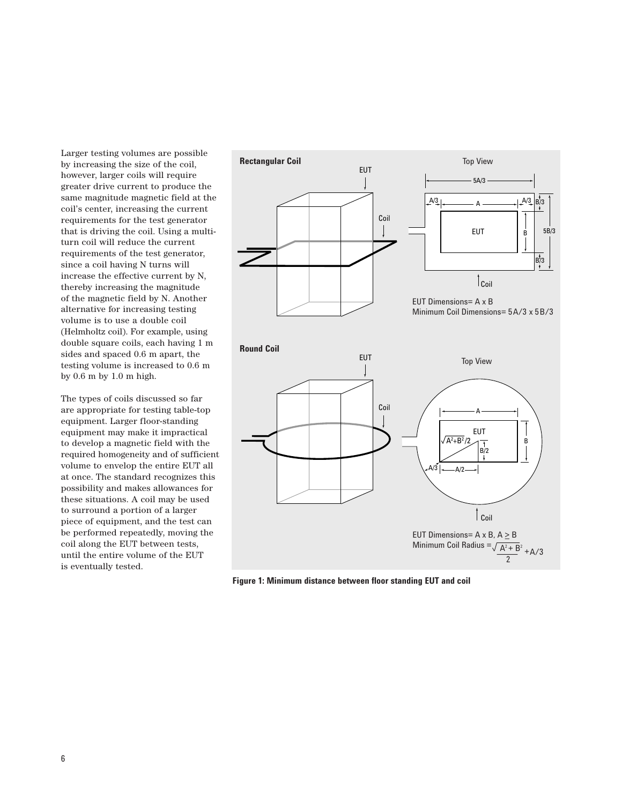Larger testing volumes are possible by increasing the size of the coil, however, larger coils will require greater drive current to produce the same magnitude magnetic field at the coil's center, increasing the current requirements for the test generator that is driving the coil. Using a multiturn coil will reduce the current requirements of the test generator, since a coil having N turns will increase the effective current by N, thereby increasing the magnitude of the magnetic field by N. Another alternative for increasing testing volume is to use a double coil (Helmholtz coil). For example, using double square coils, each having 1 m sides and spaced 0.6 m apart, the testing volume is increased to 0.6 m by 0.6 m by 1.0 m high.

The types of coils discussed so far are appropriate for testing table-top equipment. Larger floor-standing equipment may make it impractical to develop a magnetic field with the required homogeneity and of sufficient volume to envelop the entire EUT all at once. The standard recognizes this possibility and makes allowances for these situations. A coil may be used to surround a portion of a larger piece of equipment, and the test can be performed repeatedly, moving the coil along the EUT between tests, until the entire volume of the EUT is eventually tested.



**Figure 1: Minimum distance between floor standing EUT and coil**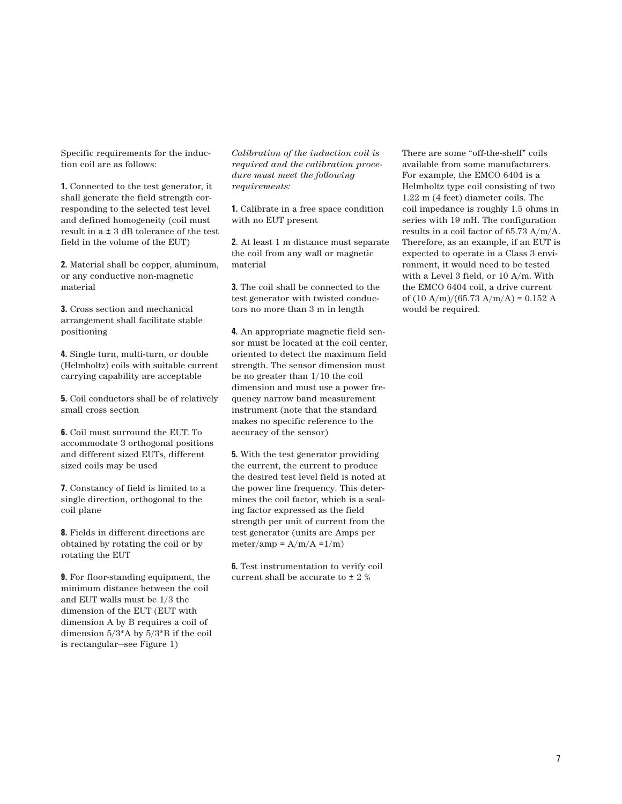Specific requirements for the induction coil are as follows:

**1.** Connected to the test generator, it shall generate the field strength corresponding to the selected test level and defined homogeneity (coil must result in a ± 3 dB tolerance of the test field in the volume of the EUT)

**2.** Material shall be copper, aluminum, or any conductive non-magnetic material

**3.** Cross section and mechanical arrangement shall facilitate stable positioning

**4.** Single turn, multi-turn, or double (Helmholtz) coils with suitable current carrying capability are acceptable

**5.** Coil conductors shall be of relatively small cross section

**6.** Coil must surround the EUT. To accommodate 3 orthogonal positions and different sized EUTs, different sized coils may be used

**7.** Constancy of field is limited to a single direction, orthogonal to the coil plane

**8.** Fields in different directions are obtained by rotating the coil or by rotating the EUT

**9.** For floor-standing equipment, the minimum distance between the coil and EUT walls must be 1/3 the dimension of the EUT (EUT with dimension A by B requires a coil of dimension 5/3\*A by 5/3\*B if the coil is rectangular—see Figure 1)

*Calibration of the induction coil is required and the calibration procedure must meet the following requirements:*

**1.** Calibrate in a free space condition with no EUT present

**2**. At least 1 m distance must separate the coil from any wall or magnetic material

**3.** The coil shall be connected to the test generator with twisted conductors no more than 3 m in length

**4.** An appropriate magnetic field sensor must be located at the coil center, oriented to detect the maximum field strength. The sensor dimension must be no greater than 1/10 the coil dimension and must use a power frequency narrow band measurement instrument (note that the standard makes no specific reference to the accuracy of the sensor)

**5.** With the test generator providing the current, the current to produce the desired test level field is noted at the power line frequency. This determines the coil factor, which is a scaling factor expressed as the field strength per unit of current from the test generator (units are Amps per  $meter/amp = A/m/A = 1/m$ 

**6.** Test instrumentation to verify coil current shall be accurate to ± 2 %

There are some "off-the-shelf" coils available from some manufacturers. For example, the EMCO 6404 is a Helmholtz type coil consisting of two 1.22 m (4 feet) diameter coils. The coil impedance is roughly 1.5 ohms in series with 19 mH. The configuration results in a coil factor of 65.73 A/m/A. Therefore, as an example, if an EUT is expected to operate in a Class 3 environment, it would need to be tested with a Level 3 field, or 10 A/m. With the EMCO 6404 coil, a drive current of  $(10 \text{ A/m})/(65.73 \text{ A/m/A}) = 0.152 \text{ A}$ would be required.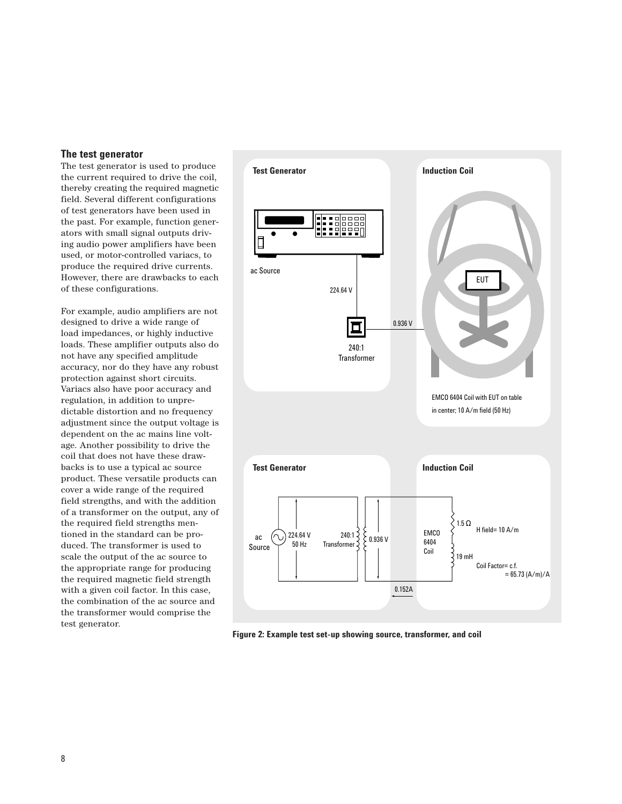#### **The test generator**

The test generator is used to produce the current required to drive the coil, thereby creating the required magnetic field. Several different configurations of test generators have been used in the past. For example, function generators with small signal outputs driving audio power amplifiers have been used, or motor-controlled variacs, to produce the required drive currents. However, there are drawbacks to each of these configurations.

For example, audio amplifiers are not designed to drive a wide range of load impedances, or highly inductive loads. These amplifier outputs also do not have any specified amplitude accuracy, nor do they have any robust protection against short circuits. Variacs also have poor accuracy and regulation, in addition to unpredictable distortion and no frequency adjustment since the output voltage is dependent on the ac mains line voltage. Another possibility to drive the coil that does not have these drawbacks is to use a typical ac source product. These versatile products can cover a wide range of the required field strengths, and with the addition of a transformer on the output, any of the required field strengths mentioned in the standard can be produced. The transformer is used to scale the output of the ac source to the appropriate range for producing the required magnetic field strength with a given coil factor. In this case, the combination of the ac source and the transformer would comprise the test generator.



**Figure 2: Example test set-up showing source, transformer, and coil**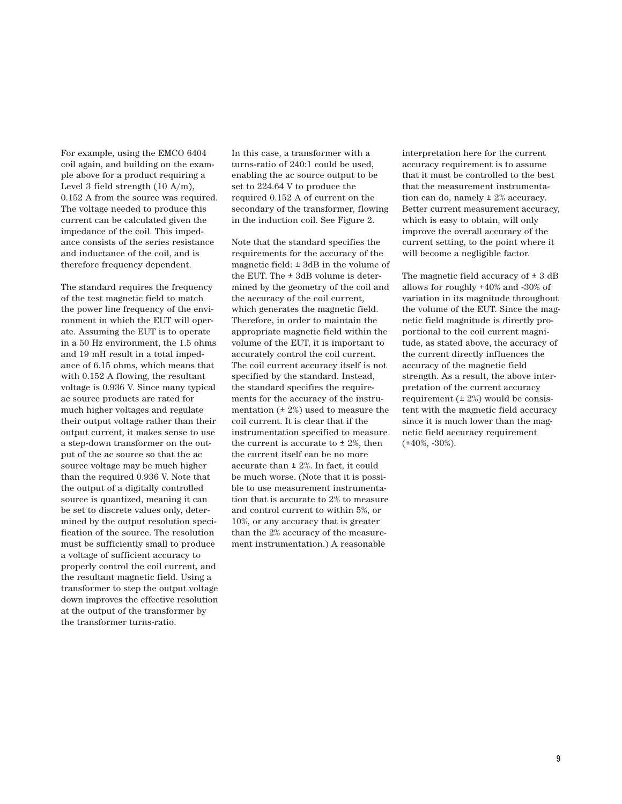For example, using the EMCO 6404 coil again, and building on the example above for a product requiring a Level 3 field strength (10 A/m), 0.152 A from the source was required. The voltage needed to produce this current can be calculated given the impedance of the coil. This impedance consists of the series resistance and inductance of the coil, and is therefore frequency dependent.

The standard requires the frequency of the test magnetic field to match the power line frequency of the environment in which the EUT will operate. Assuming the EUT is to operate in a 50 Hz environment, the 1.5 ohms and 19 mH result in a total impedance of 6.15 ohms, which means that with 0.152 A flowing, the resultant voltage is 0.936 V. Since many typical ac source products are rated for much higher voltages and regulate their output voltage rather than their output current, it makes sense to use a step-down transformer on the output of the ac source so that the ac source voltage may be much higher than the required 0.936 V. Note that the output of a digitally controlled source is quantized, meaning it can be set to discrete values only, determined by the output resolution specification of the source. The resolution must be sufficiently small to produce a voltage of sufficient accuracy to properly control the coil current, and the resultant magnetic field. Using a transformer to step the output voltage down improves the effective resolution at the output of the transformer by the transformer turns-ratio.

In this case, a transformer with a turns-ratio of 240:1 could be used, enabling the ac source output to be set to 224.64 V to produce the required 0.152 A of current on the secondary of the transformer, flowing in the induction coil. See Figure 2.

Note that the standard specifies the requirements for the accuracy of the magnetic field:  $\pm$  3dB in the volume of the EUT. The ± 3dB volume is determined by the geometry of the coil and the accuracy of the coil current, which generates the magnetic field. Therefore, in order to maintain the appropriate magnetic field within the volume of the EUT, it is important to accurately control the coil current. The coil current accuracy itself is not specified by the standard. Instead, the standard specifies the requirements for the accuracy of the instrumentation  $(± 2%)$  used to measure the coil current. It is clear that if the instrumentation specified to measure the current is accurate to  $\pm$  2%, then the current itself can be no more accurate than ± 2%. In fact, it could be much worse. (Note that it is possible to use measurement instrumentation that is accurate to 2% to measure and control current to within 5%, or 10%, or any accuracy that is greater than the 2% accuracy of the measurement instrumentation.) A reasonable

interpretation here for the current accuracy requirement is to assume that it must be controlled to the best that the measurement instrumentation can do, namely  $\pm$  2% accuracy. Better current measurement accuracy, which is easy to obtain, will only improve the overall accuracy of the current setting, to the point where it will become a negligible factor.

The magnetic field accuracy of  $\pm$  3 dB allows for roughly +40% and -30% of variation in its magnitude throughout the volume of the EUT. Since the magnetic field magnitude is directly proportional to the coil current magnitude, as stated above, the accuracy of the current directly influences the accuracy of the magnetic field strength. As a result, the above interpretation of the current accuracy requirement  $(\pm 2\%)$  would be consistent with the magnetic field accuracy since it is much lower than the magnetic field accuracy requirement (+40%, -30%).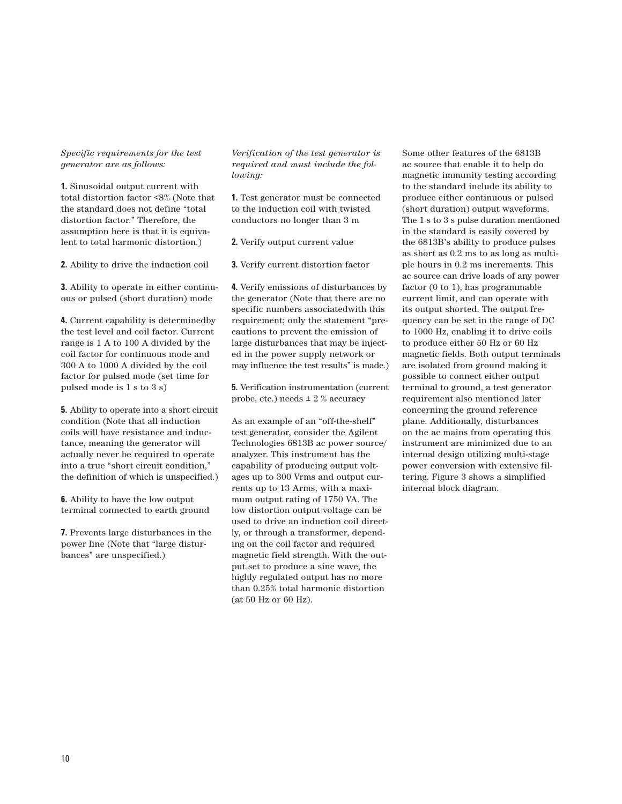#### *Specific requirements for the test generator are as follows:*

**1.** Sinusoidal output current with total distortion factor <8% (Note that the standard does not define "total distortion factor." Therefore, the assumption here is that it is equivalent to total harmonic distortion.)

**2.** Ability to drive the induction coil

**3.** Ability to operate in either continuous or pulsed (short duration) mode

**4.** Current capability is determinedby the test level and coil factor. Current range is 1 A to 100 A divided by the coil factor for continuous mode and 300 A to 1000 A divided by the coil factor for pulsed mode (set time for pulsed mode is 1 s to 3 s)

**5.** Ability to operate into a short circuit condition (Note that all induction coils will have resistance and inductance, meaning the generator will actually never be required to operate into a true "short circuit condition," the definition of which is unspecified.)

**6.** Ability to have the low output terminal connected to earth ground

**7.** Prevents large disturbances in the power line (Note that "large disturbances" are unspecified.)

*Verification of the test generator is required and must include the following:*

**1.** Test generator must be connected to the induction coil with twisted conductors no longer than 3 m

**2.** Verify output current value

**3.** Verify current distortion factor

**4.** Verify emissions of disturbances by the generator (Note that there are no specific numbers associatedwith this requirement; only the statement "precautions to prevent the emission of large disturbances that may be injected in the power supply network or may influence the test results" is made.)

**5.** Verification instrumentation (current probe, etc.) needs ± 2 % accuracy

As an example of an "off-the-shelf" test generator, consider the Agilent Technologies 6813B ac power source/ analyzer. This instrument has the capability of producing output voltages up to 300 Vrms and output currents up to 13 Arms, with a maximum output rating of 1750 VA. The low distortion output voltage can be used to drive an induction coil directly, or through a transformer, depending on the coil factor and required magnetic field strength. With the output set to produce a sine wave, the highly regulated output has no more than 0.25% total harmonic distortion (at 50 Hz or 60 Hz).

Some other features of the 6813B ac source that enable it to help do magnetic immunity testing according to the standard include its ability to produce either continuous or pulsed (short duration) output waveforms. The 1 s to 3 s pulse duration mentioned in the standard is easily covered by the 6813B's ability to produce pulses as short as 0.2 ms to as long as multiple hours in 0.2 ms increments. This ac source can drive loads of any power factor (0 to 1), has programmable current limit, and can operate with its output shorted. The output frequency can be set in the range of DC to 1000 Hz, enabling it to drive coils to produce either 50 Hz or 60 Hz magnetic fields. Both output terminals are isolated from ground making it possible to connect either output terminal to ground, a test generator requirement also mentioned later concerning the ground reference plane. Additionally, disturbances on the ac mains from operating this instrument are minimized due to an internal design utilizing multi-stage power conversion with extensive filtering. Figure 3 shows a simplified internal block diagram.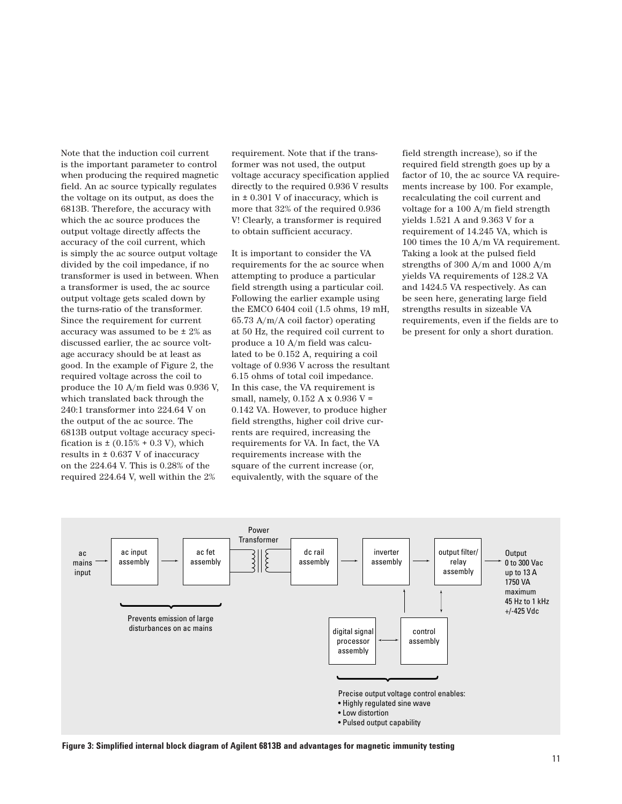Note that the induction coil current is the important parameter to control when producing the required magnetic field. An ac source typically regulates the voltage on its output, as does the 6813B. Therefore, the accuracy with which the ac source produces the output voltage directly affects the accuracy of the coil current, which is simply the ac source output voltage divided by the coil impedance, if no transformer is used in between. When a transformer is used, the ac source output voltage gets scaled down by the turns-ratio of the transformer. Since the requirement for current accuracy was assumed to be ± 2% as discussed earlier, the ac source voltage accuracy should be at least as good. In the example of Figure 2, the required voltage across the coil to produce the 10 A/m field was 0.936 V, which translated back through the 240:1 transformer into 224.64 V on the output of the ac source. The 6813B output voltage accuracy specification is  $\pm (0.15\% + 0.3 \text{ V})$ , which results in ± 0.637 V of inaccuracy on the 224.64 V. This is 0.28% of the required 224.64 V, well within the 2%

requirement. Note that if the transformer was not used, the output voltage accuracy specification applied directly to the required 0.936 V results in ± 0.301 V of inaccuracy, which is more that 32% of the required 0.936 V! Clearly, a transformer is required to obtain sufficient accuracy.

It is important to consider the VA requirements for the ac source when attempting to produce a particular field strength using a particular coil. Following the earlier example using the EMCO 6404 coil (1.5 ohms, 19 mH, 65.73 A/m/A coil factor) operating at 50 Hz, the required coil current to produce a 10 A/m field was calculated to be 0.152 A, requiring a coil voltage of 0.936 V across the resultant 6.15 ohms of total coil impedance. In this case, the VA requirement is small, namely, 0.152 A x 0.936 V = 0.142 VA. However, to produce higher field strengths, higher coil drive currents are required, increasing the requirements for VA. In fact, the VA requirements increase with the square of the current increase (or, equivalently, with the square of the

field strength increase), so if the required field strength goes up by a factor of 10, the ac source VA requirements increase by 100. For example, recalculating the coil current and voltage for a 100 A/m field strength yields 1.521 A and 9.363 V for a requirement of 14.245 VA, which is 100 times the 10 A/m VA requirement. Taking a look at the pulsed field strengths of 300 A/m and 1000 A/m yields VA requirements of 128.2 VA and 1424.5 VA respectively. As can be seen here, generating large field strengths results in sizeable VA requirements, even if the fields are to be present for only a short duration.



**Figure 3: Simplified internal block diagram of Agilent 6813B and advantages for magnetic immunity testing**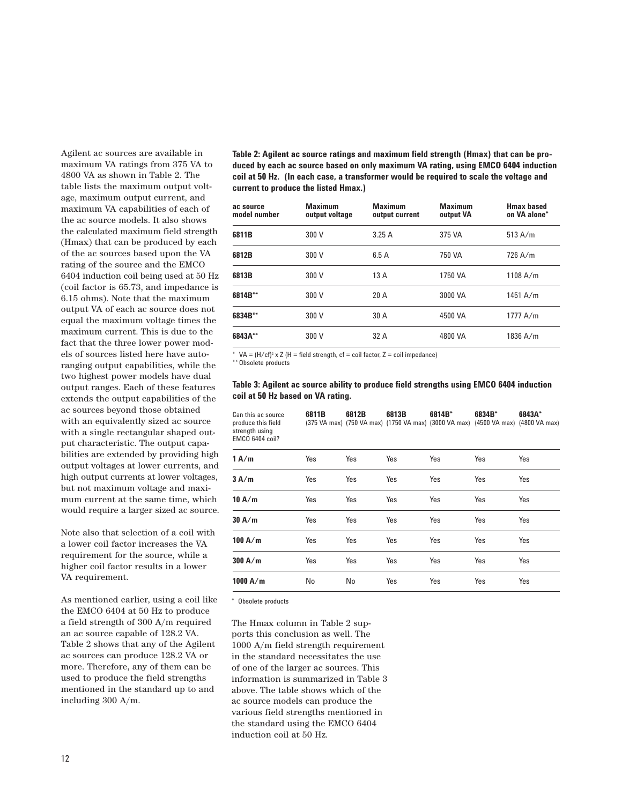Agilent ac sources are available in maximum VA ratings from 375 VA to 4800 VA as shown in Table 2. The table lists the maximum output voltage, maximum output current, and maximum VA capabilities of each of the ac source models. It also shows the calculated maximum field strength (Hmax) that can be produced by each of the ac sources based upon the VA rating of the source and the EMCO 6404 induction coil being used at 50 Hz (coil factor is 65.73, and impedance is 6.15 ohms). Note that the maximum output VA of each ac source does not equal the maximum voltage times the maximum current. This is due to the fact that the three lower power models of sources listed here have autoranging output capabilities, while the two highest power models have dual output ranges. Each of these features extends the output capabilities of the ac sources beyond those obtained with an equivalently sized ac source with a single rectangular shaped output characteristic. The output capabilities are extended by providing high output voltages at lower currents, and high output currents at lower voltages, but not maximum voltage and maximum current at the same time, which would require a larger sized ac source.

Note also that selection of a coil with a lower coil factor increases the VA requirement for the source, while a higher coil factor results in a lower VA requirement.

As mentioned earlier, using a coil like the EMCO 6404 at 50 Hz to produce a field strength of 300 A/m required an ac source capable of 128.2 VA. Table 2 shows that any of the Agilent ac sources can produce 128.2 VA or more. Therefore, any of them can be used to produce the field strengths mentioned in the standard up to and including 300 A/m.

**Table 2: Agilent ac source ratings and maximum field strength (Hmax) that can be produced by each ac source based on only maximum VA rating, using EMCO 6404 induction coil at 50 Hz. (In each case, a transformer would be required to scale the voltage and current to produce the listed Hmax.)**

| ac source<br>model number | <b>Maximum</b><br>output voltage | <b>Maximum</b><br>output current | <b>Maximum</b><br>output VA | <b>Hmax based</b><br>on VA alone* |
|---------------------------|----------------------------------|----------------------------------|-----------------------------|-----------------------------------|
| 6811B                     | 300 V                            | 3.25A                            | 375 VA                      | 513 A/m                           |
| 6812B                     | 300 V                            | 6.5A                             | 750 VA                      | $726$ A/m                         |
| 6813B                     | 300 V                            | 13A                              | 1750 VA                     | 1108 A/m                          |
| 6814B**                   | 300 V                            | 20A                              | 3000 VA                     | 1451 A/m                          |
| 6834B**                   | 300 V                            | 30 A                             | 4500 VA                     | 1777 A/m                          |
| 6843A**                   | 300 V                            | 32 A                             | 4800 VA                     | 1836 A/m                          |

 $VA = (H/cf)^2 \times Z$  (H = field strength, cf = coil factor, Z = coil impedance)

\*\* Obsolete products

#### **Table 3: Agilent ac source ability to produce field strengths using EMCO 6404 induction coil at 50 Hz based on VA rating.**

| Can this ac source<br>produce this field<br>strength using<br><b>EMCO 6404 coil?</b> | 6811B | 6812B | 6813B | 6814B*<br>(375 VA max) (750 VA max) (1750 VA max) (3000 VA max) (4500 VA max) (4800 VA max) | 6834B* | 6843A* |
|--------------------------------------------------------------------------------------|-------|-------|-------|---------------------------------------------------------------------------------------------|--------|--------|
| 1A/m                                                                                 | Yes   | Yes   | Yes   | Yes                                                                                         | Yes    | Yes    |
| 3A/m                                                                                 | Yes   | Yes   | Yes   | Yes                                                                                         | Yes    | Yes    |
| 10 A/m                                                                               | Yes   | Yes   | Yes   | Yes                                                                                         | Yes    | Yes    |
| 30 A/m                                                                               | Yes   | Yes   | Yes   | Yes                                                                                         | Yes    | Yes    |
| 100 A/m                                                                              | Yes   | Yes   | Yes   | Yes                                                                                         | Yes    | Yes    |
| 300 A/m                                                                              | Yes   | Yes   | Yes   | Yes                                                                                         | Yes    | Yes    |
| 1000 A/m                                                                             | No    | No    | Yes   | Yes                                                                                         | Yes    | Yes    |

\* Obsolete products

The Hmax column in Table 2 supports this conclusion as well. The 1000 A/m field strength requirement in the standard necessitates the use of one of the larger ac sources. This information is summarized in Table 3 above. The table shows which of the ac source models can produce the various field strengths mentioned in the standard using the EMCO 6404 induction coil at 50 Hz.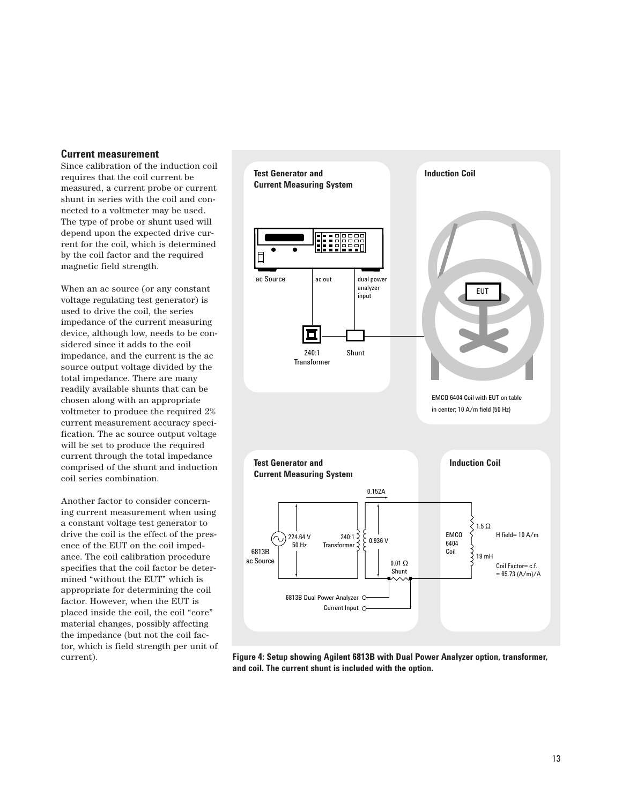#### **Current measurement**

Since calibration of the induction coil requires that the coil current be measured, a current probe or current shunt in series with the coil and connected to a voltmeter may be used. The type of probe or shunt used will depend upon the expected drive current for the coil, which is determined by the coil factor and the required magnetic field strength.

When an ac source (or any constant voltage regulating test generator) is used to drive the coil, the series impedance of the current measuring device, although low, needs to be considered since it adds to the coil impedance, and the current is the ac source output voltage divided by the total impedance. There are many readily available shunts that can be chosen along with an appropriate voltmeter to produce the required 2% current measurement accuracy specification. The ac source output voltage will be set to produce the required current through the total impedance comprised of the shunt and induction coil series combination.

Another factor to consider concerning current measurement when using a constant voltage test generator to drive the coil is the effect of the presence of the EUT on the coil impedance. The coil calibration procedure specifies that the coil factor be determined "without the EUT" which is appropriate for determining the coil factor. However, when the EUT is placed inside the coil, the coil "core" material changes, possibly affecting the impedance (but not the coil factor, which is field strength per unit of current).



**Figure 4: Setup showing Agilent 6813B with Dual Power Analyzer option, transformer, and coil. The current shunt is included with the option.**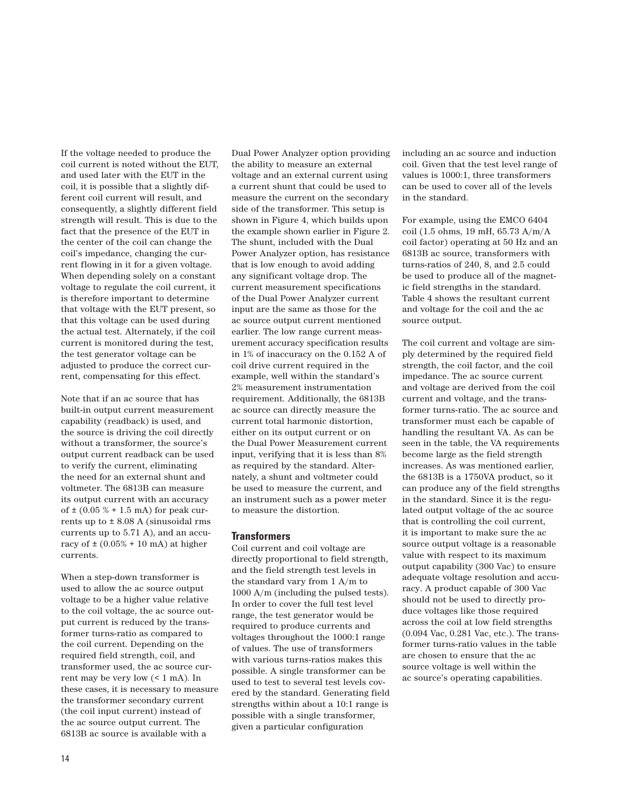If the voltage needed to produce the coil current is noted without the EUT, and used later with the EUT in the coil, it is possible that a slightly different coil current will result, and consequently, a slightly different field strength will result. This is due to the fact that the presence of the EUT in the center of the coil can change the coil's impedance, changing the current flowing in it for a given voltage. When depending solely on a constant voltage to regulate the coil current, it is therefore important to determine that voltage with the EUT present, so that this voltage can be used during the actual test. Alternately, if the coil current is monitored during the test, the test generator voltage can be adjusted to produce the correct current, compensating for this effect.

Note that if an ac source that has built-in output current measurement capability (readback) is used, and the source is driving the coil directly without a transformer, the source's output current readback can be used to verify the current, eliminating the need for an external shunt and voltmeter. The 6813B can measure its output current with an accuracy of  $\pm$  (0.05 % + 1.5 mA) for peak currents up to  $\pm$  8.08 A (sinusoidal rms currents up to 5.71 A), and an accuracy of  $\pm$  (0.05% + 10 mA) at higher currents.

When a step-down transformer is used to allow the ac source output voltage to be a higher value relative to the coil voltage, the ac source output current is reduced by the transformer turns-ratio as compared to the coil current. Depending on the required field strength, coil, and transformer used, the ac source current may be very low (< 1 mA). In these cases, it is necessary to measure the transformer secondary current (the coil input current) instead of the ac source output current. The 6813B ac source is available with a

Dual Power Analyzer option providing the ability to measure an external voltage and an external current using a current shunt that could be used to measure the current on the secondary side of the transformer. This setup is shown in Figure 4, which builds upon the example shown earlier in Figure 2. The shunt, included with the Dual Power Analyzer option, has resistance that is low enough to avoid adding any significant voltage drop. The current measurement specifications of the Dual Power Analyzer current input are the same as those for the ac source output current mentioned earlier. The low range current measurement accuracy specification results in 1% of inaccuracy on the 0.152 A of coil drive current required in the example, well within the standard's 2% measurement instrumentation requirement. Additionally, the 6813B ac source can directly measure the current total harmonic distortion, either on its output current or on the Dual Power Measurement current input, verifying that it is less than 8% as required by the standard. Alternately, a shunt and voltmeter could be used to measure the current, and an instrument such as a power meter to measure the distortion.

#### **Transformers**

Coil current and coil voltage are directly proportional to field strength, and the field strength test levels in the standard vary from 1 A/m to 1000 A/m (including the pulsed tests). In order to cover the full test level range, the test generator would be required to produce currents and voltages throughout the 1000:1 range of values. The use of transformers with various turns-ratios makes this possible. A single transformer can be used to test to several test levels covered by the standard. Generating field strengths within about a 10:1 range is possible with a single transformer, given a particular configuration

including an ac source and induction coil. Given that the test level range of values is 1000:1, three transformers can be used to cover all of the levels in the standard.

For example, using the EMCO 6404 coil (1.5 ohms, 19 mH, 65.73 A/m/A coil factor) operating at 50 Hz and an 6813B ac source, transformers with turns-ratios of 240, 8, and 2.5 could be used to produce all of the magnetic field strengths in the standard. Table 4 shows the resultant current and voltage for the coil and the ac source output.

The coil current and voltage are simply determined by the required field strength, the coil factor, and the coil impedance. The ac source current and voltage are derived from the coil current and voltage, and the transformer turns-ratio. The ac source and transformer must each be capable of handling the resultant VA. As can be seen in the table, the VA requirements become large as the field strength increases. As was mentioned earlier, the 6813B is a 1750VA product, so it can produce any of the field strengths in the standard. Since it is the regulated output voltage of the ac source that is controlling the coil current, it is important to make sure the ac source output voltage is a reasonable value with respect to its maximum output capability (300 Vac) to ensure adequate voltage resolution and accuracy. A product capable of 300 Vac should not be used to directly produce voltages like those required across the coil at low field strengths (0.094 Vac, 0.281 Vac, etc.). The transformer turns-ratio values in the table are chosen to ensure that the ac source voltage is well within the ac source's operating capabilities.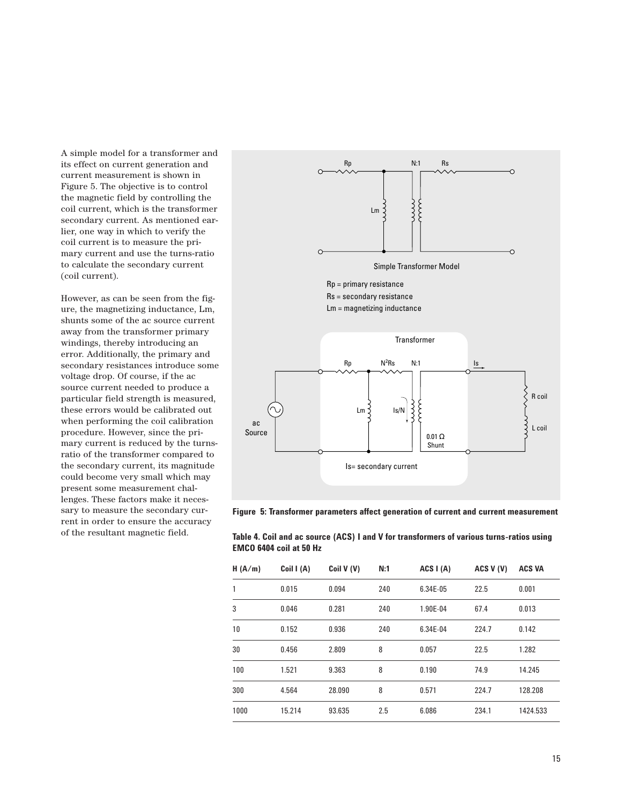A simple model for a transformer and its effect on current generation and current measurement is shown in Figure 5. The objective is to control the magnetic field by controlling the coil current, which is the transformer secondary current. As mentioned earlier, one way in which to verify the coil current is to measure the primary current and use the turns-ratio to calculate the secondary current (coil current).

However, as can be seen from the figure, the magnetizing inductance, Lm, shunts some of the ac source current away from the transformer primary windings, thereby introducing an error. Additionally, the primary and secondary resistances introduce some voltage drop. Of course, if the ac source current needed to produce a particular field strength is measured, these errors would be calibrated out when performing the coil calibration procedure. However, since the primary current is reduced by the turnsratio of the transformer compared to the secondary current, its magnitude could become very small which may present some measurement challenges. These factors make it necessary to measure the secondary current in order to ensure the accuracy of the resultant magnetic field.



**Figure 5: Transformer parameters affect generation of current and current measurement**

| Table 4. Coil and ac source (ACS) I and V for transformers of various turns-ratios using |
|------------------------------------------------------------------------------------------|
| <b>EMCO 6404 coil at 50 Hz</b>                                                           |

| H(A/m) | Coil I (A) | Coil V (V) | N:1 | ACS I (A) | ACS V (V) | <b>ACS VA</b> |
|--------|------------|------------|-----|-----------|-----------|---------------|
| 1      | 0.015      | 0.094      | 240 | 6.34E-05  | 22.5      | 0.001         |
| 3      | 0.046      | 0.281      | 240 | 1.90E-04  | 67.4      | 0.013         |
| 10     | 0.152      | 0.936      | 240 | 6.34E-04  | 224.7     | 0.142         |
| 30     | 0.456      | 2.809      | 8   | 0.057     | 22.5      | 1.282         |
| 100    | 1.521      | 9.363      | 8   | 0.190     | 74.9      | 14.245        |
| 300    | 4.564      | 28.090     | 8   | 0.571     | 224.7     | 128.208       |
| 1000   | 15.214     | 93.635     | 2.5 | 6.086     | 234.1     | 1424.533      |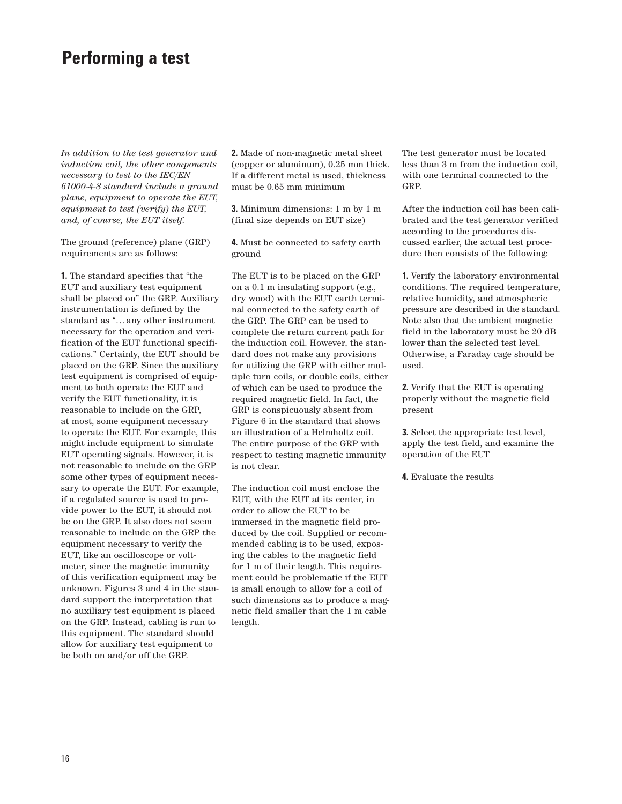## **Performing a test**

*In addition to the test generator and induction coil, the other components necessary to test to the IEC/EN 61000-4-8 standard include a ground plane, equipment to operate the EUT, equipment to test (verify) the EUT, and, of course, the EUT itself.*

The ground (reference) plane (GRP) requirements are as follows:

**1.** The standard specifies that "the EUT and auxiliary test equipment shall be placed on" the GRP. Auxiliary instrumentation is defined by the standard as "... any other instrument necessary for the operation and verification of the EUT functional specifications." Certainly, the EUT should be placed on the GRP. Since the auxiliary test equipment is comprised of equipment to both operate the EUT and verify the EUT functionality, it is reasonable to include on the GRP, at most, some equipment necessary to operate the EUT. For example, this might include equipment to simulate EUT operating signals. However, it is not reasonable to include on the GRP some other types of equipment necessary to operate the EUT. For example, if a regulated source is used to provide power to the EUT, it should not be on the GRP. It also does not seem reasonable to include on the GRP the equipment necessary to verify the EUT, like an oscilloscope or voltmeter, since the magnetic immunity of this verification equipment may be unknown. Figures 3 and 4 in the standard support the interpretation that no auxiliary test equipment is placed on the GRP. Instead, cabling is run to this equipment. The standard should allow for auxiliary test equipment to be both on and/or off the GRP.

**2.** Made of non-magnetic metal sheet (copper or aluminum), 0.25 mm thick. If a different metal is used, thickness must be 0.65 mm minimum

**3.** Minimum dimensions: 1 m by 1 m (final size depends on EUT size)

**4.** Must be connected to safety earth ground

The EUT is to be placed on the GRP on a 0.1 m insulating support (e.g., dry wood) with the EUT earth terminal connected to the safety earth of the GRP. The GRP can be used to complete the return current path for the induction coil. However, the standard does not make any provisions for utilizing the GRP with either multiple turn coils, or double coils, either of which can be used to produce the required magnetic field. In fact, the GRP is conspicuously absent from Figure 6 in the standard that shows an illustration of a Helmholtz coil. The entire purpose of the GRP with respect to testing magnetic immunity is not clear.

The induction coil must enclose the EUT, with the EUT at its center, in order to allow the EUT to be immersed in the magnetic field produced by the coil. Supplied or recommended cabling is to be used, exposing the cables to the magnetic field for 1 m of their length. This requirement could be problematic if the EUT is small enough to allow for a coil of such dimensions as to produce a magnetic field smaller than the 1 m cable length.

The test generator must be located less than 3 m from the induction coil, with one terminal connected to the GRP.

After the induction coil has been calibrated and the test generator verified according to the procedures discussed earlier, the actual test procedure then consists of the following:

**1.** Verify the laboratory environmental conditions. The required temperature, relative humidity, and atmospheric pressure are described in the standard. Note also that the ambient magnetic field in the laboratory must be 20 dB lower than the selected test level. Otherwise, a Faraday cage should be used.

**2.** Verify that the EUT is operating properly without the magnetic field present

**3.** Select the appropriate test level, apply the test field, and examine the operation of the EUT

**4.** Evaluate the results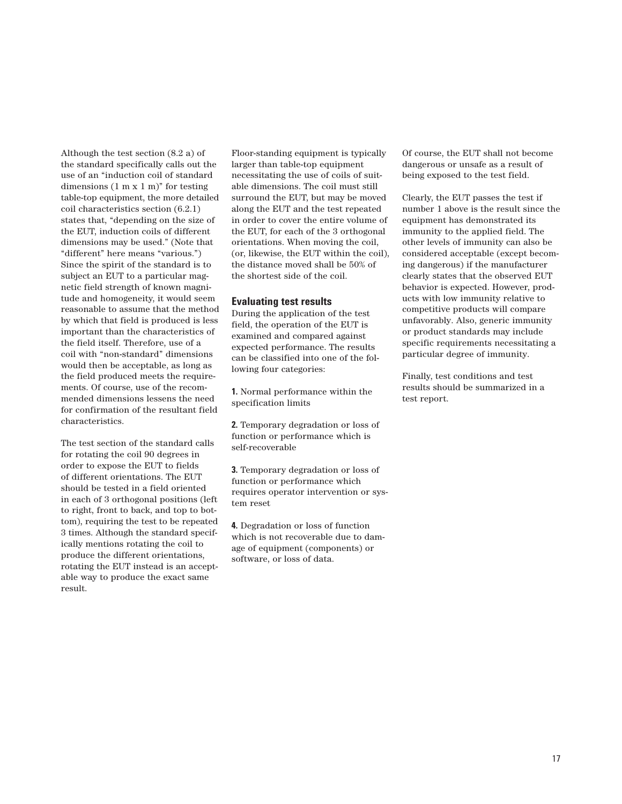Although the test section (8.2 a) of the standard specifically calls out the use of an "induction coil of standard dimensions  $(1 \text{ m x } 1 \text{ m})^n$  for testing table-top equipment, the more detailed coil characteristics section (6.2.1) states that, "depending on the size of the EUT, induction coils of different dimensions may be used." (Note that "different" here means "various.") Since the spirit of the standard is to subject an EUT to a particular magnetic field strength of known magnitude and homogeneity, it would seem reasonable to assume that the method by which that field is produced is less important than the characteristics of the field itself. Therefore, use of a coil with "non-standard" dimensions would then be acceptable, as long as the field produced meets the requirements. Of course, use of the recommended dimensions lessens the need for confirmation of the resultant field characteristics.

The test section of the standard calls for rotating the coil 90 degrees in order to expose the EUT to fields of different orientations. The EUT should be tested in a field oriented in each of 3 orthogonal positions (left to right, front to back, and top to bottom), requiring the test to be repeated 3 times. Although the standard specifically mentions rotating the coil to produce the different orientations, rotating the EUT instead is an acceptable way to produce the exact same result.

Floor-standing equipment is typically larger than table-top equipment necessitating the use of coils of suitable dimensions. The coil must still surround the EUT, but may be moved along the EUT and the test repeated in order to cover the entire volume of the EUT, for each of the 3 orthogonal orientations. When moving the coil, (or, likewise, the EUT within the coil), the distance moved shall be 50% of the shortest side of the coil.

#### **Evaluating test results**

During the application of the test field, the operation of the EUT is examined and compared against expected performance. The results can be classified into one of the following four categories:

**1.** Normal performance within the specification limits

**2.** Temporary degradation or loss of function or performance which is self-recoverable

**3.** Temporary degradation or loss of function or performance which requires operator intervention or system reset

**4.** Degradation or loss of function which is not recoverable due to damage of equipment (components) or software, or loss of data.

Of course, the EUT shall not become dangerous or unsafe as a result of being exposed to the test field.

Clearly, the EUT passes the test if number 1 above is the result since the equipment has demonstrated its immunity to the applied field. The other levels of immunity can also be considered acceptable (except becoming dangerous) if the manufacturer clearly states that the observed EUT behavior is expected. However, products with low immunity relative to competitive products will compare unfavorably. Also, generic immunity or product standards may include specific requirements necessitating a particular degree of immunity.

Finally, test conditions and test results should be summarized in a test report.